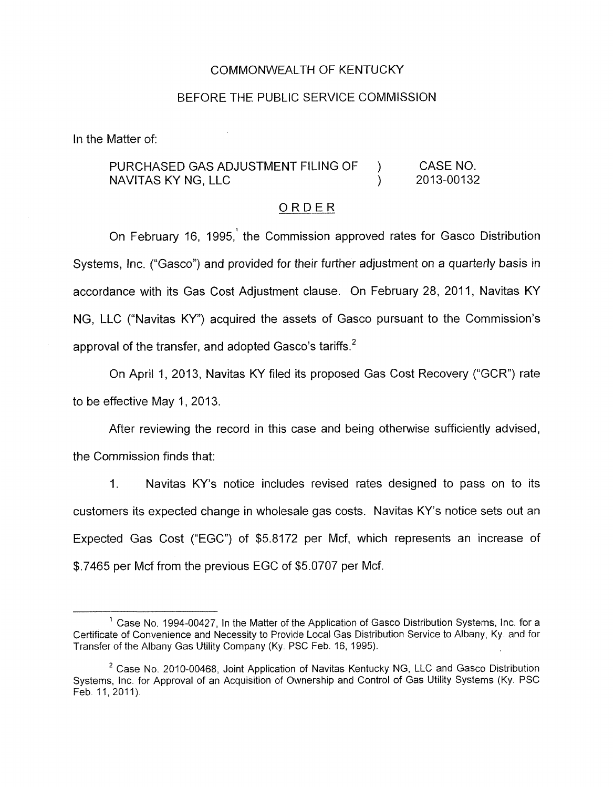### COMMONWEALTH OF KENTUCKY

### BEFORE THE PUBLIC SERVICE COMMISSION

In the Matter of:

## PURCHASED GAS ADJUSTMENT FILING OF ) CASE NO. NAVITAS KY NG, LLC (2013-00132)

## ORDER

On February 16, 1995,' the Commission approved rates for Gasco Distribution Systems, Inc. ("Gasco") and provided for their further adjustment on a quarterly basis in accordance with its Gas Cost Adjustment clause. On February 28, 2011, Navitas KY NG, LLC ("Navitas KY) acquired the assets of Gasco pursuant to the Commission's approval of the transfer, and adopted Gasco's tariffs.<sup>2</sup>

On April 1, 2013, Navitas KY filed its proposed Gas Cost Recovery ("GCR") rate to be effective May 1, 2013.

After reviewing the record in this case and being otherwise sufficiently advised, the Commission finds that:

1. Navitas KY's notice includes revised rates designed to pass on to its customers its expected change in wholesale gas costs. Navitas KY's notice sets out an Expected Gas Cost ("EGC") of \$5.8172 per Mcf, which represents an increase of \$.7465 per Mcf from the previous EGC of \$5.0707 per Mcf.

 $^1$  Case No. 1994-00427, In the Matter of the Application of Gasco Distribution Systems, Inc. for a Certificate of Convenience and Necessity to Provide Local Gas Distribution Service to Albany, Ky and for Transfer of the Albany Gas Utility Company (Ky. PSC Feb. 16, 1995).

<sup>&</sup>lt;sup>2</sup> Case No. 2010-00468, Joint Application of Navitas Kentucky NG, LLC and Gasco Distribution Systems, Inc. for Approval of an Acquisition of Ownership and Control of Gas Utility Systems (Ky. PSC Feb. 11, 2011).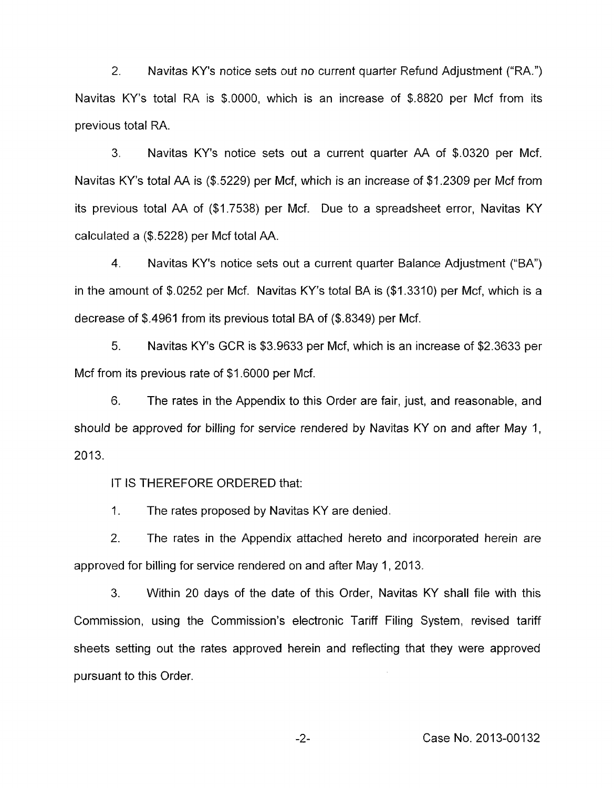2. Navitas KY's notice sets out no current quarter Refund Adjustment ("RA,") Navitas KY's total RA is \$.0000, which is an increase of \$.8820 per Mcf from its previous total RA.

3. Navitas KY's notice sets out a current quarter AA of \$.0320 per Mcf. Navitas KY's total AA is (\$.5229) per Mcf, which is an increase of \$1.2309 per Mcf from its previous total AA of (\$1.7538) per Mcf. Due to a spreadsheet error, Navitas KY calculated a (\$.5228) per Mcf total AA.

**4.** Navitas KY's notice sets out a current quarter Balance Adjustment ("BA") in the amount of \$.0252 per Mcf. Navitas KY's total BA is (\$1.3310) per Mcf, which is a decrease of \$.4961 from its previous total BA of (\$.8349) per Mcf.

*5.* Navitas KY's GCR is \$3.9633 per Mcf, which is an increase of \$2.3633 per Mcf from its previous rate of \$1.6000 per Mcf.

6. The rates in the Appendix to this Order are fair, just, and reasonable, and should be approved for billing for service rendered by Navitas KY on and after May I, 2013.

IT IS THEREFORE ORDERED that:

1. The rates proposed by Navitas KY are denied.

2. The rates in the Appendix attached hereto and incorporated herein are approved for billing for service rendered on and after May 1, 2013.

3. Within 20 days of the date of this Order, Navitas KY shall file with this Commission, using the Commission's electronic Tariff Filing System, revised tariff sheets setting out the rates approved herein and reflecting that they were approved pursuant to this Order.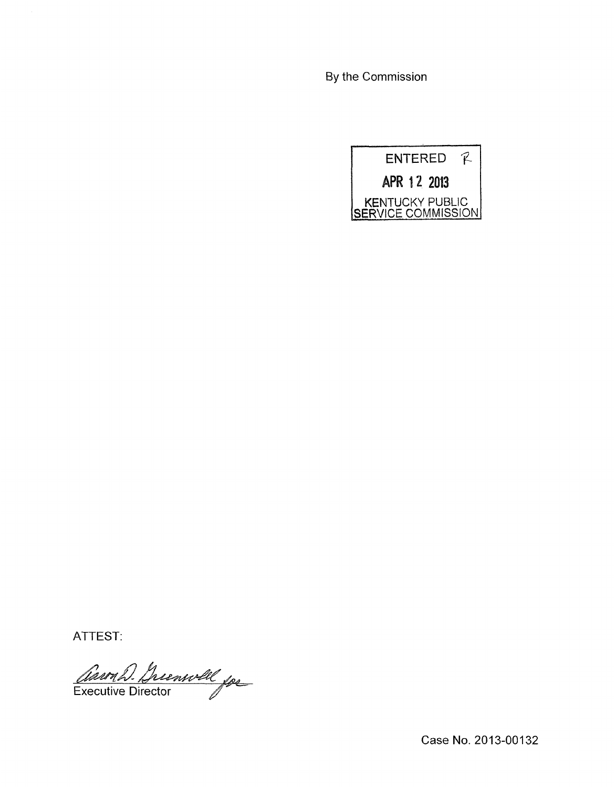By the Commission



ATTEST:

Carril Chienvill for

Case No. 2013-00132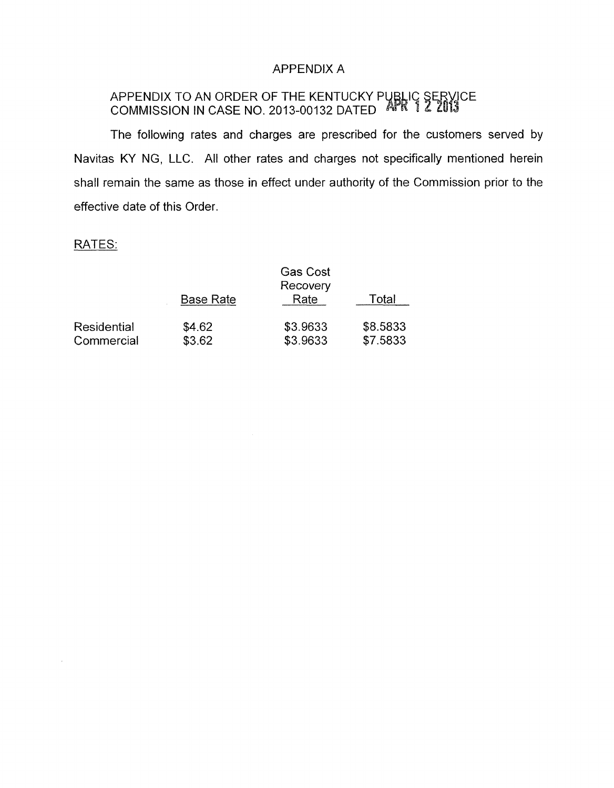# APPENDIX A

# APPENDIX TO AN ORDER OF THE KENTUCKY PL COMMISSION IN CASE NO. 2013-00132 DATED

The following rates and charges are prescribed for the customers served by Navitas KY NG, LLC. All other rates and charges not specifically mentioned herein shall remain the same as those in effect under authority of the Commission prior to the effective date of this Order. snall remain<br>effective date<br>RATES:

 $\sim$ 

|                           |                  | <b>Gas Cost</b><br>Recovery |                      |  |
|---------------------------|------------------|-----------------------------|----------------------|--|
|                           | <b>Base Rate</b> | Rate                        | Total                |  |
| Residential<br>Commercial | \$4.62<br>\$3.62 | \$3.9633<br>\$3.9633        | \$8.5833<br>\$7.5833 |  |